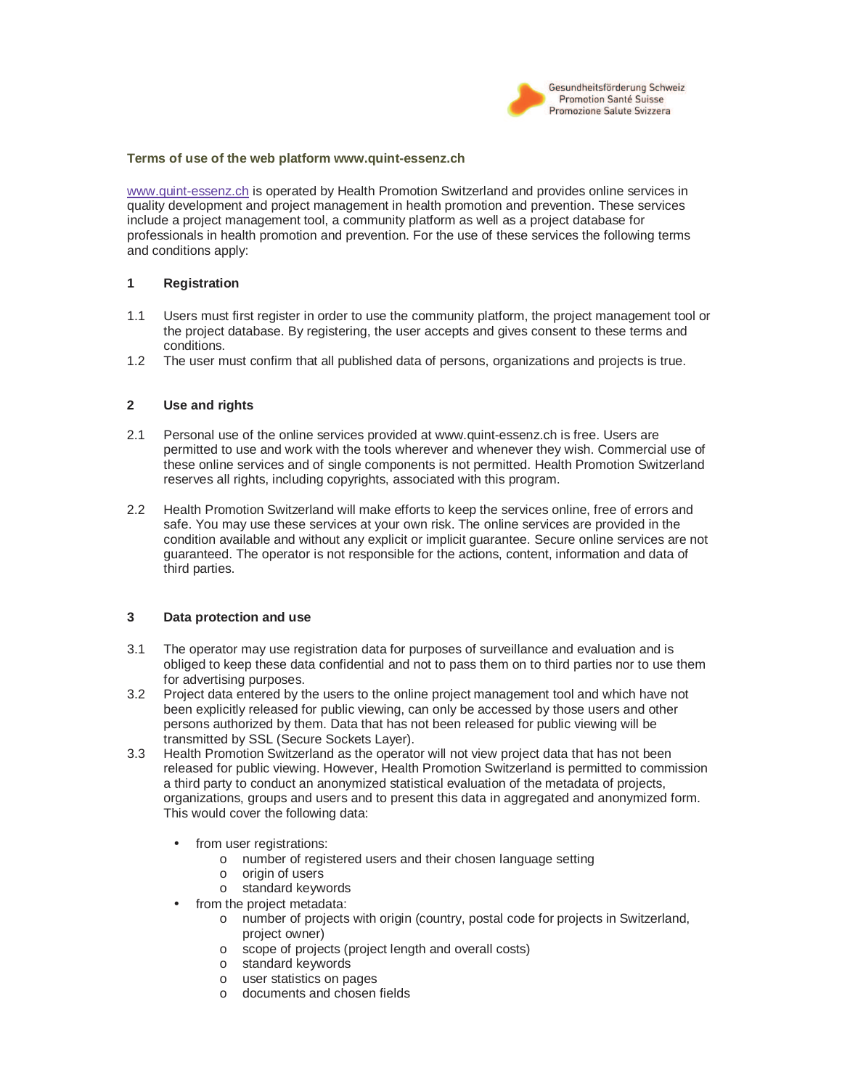

### **Terms of use of the web platform www.quint-essenz.ch**

www.quint-essenz.ch is operated by Health Promotion Switzerland and provides online services in quality development and project management in health promotion and prevention. These services include a project management tool, a community platform as well as a project database for professionals in health promotion and prevention. For the use of these services the following terms and conditions apply:

### **1 Registration**

- 1.1 Users must first register in order to use the community platform, the project management tool or the project database. By registering, the user accepts and gives consent to these terms and conditions.
- 1.2 The user must confirm that all published data of persons, organizations and projects is true.

### **2 Use and rights**

- 2.1 Personal use of the online services provided at www.quint-essenz.ch is free. Users are permitted to use and work with the tools wherever and whenever they wish. Commercial use of these online services and of single components is not permitted. Health Promotion Switzerland reserves all rights, including copyrights, associated with this program.
- 2.2 Health Promotion Switzerland will make efforts to keep the services online, free of errors and safe. You may use these services at your own risk. The online services are provided in the condition available and without any explicit or implicit guarantee. Secure online services are not guaranteed. The operator is not responsible for the actions, content, information and data of third parties.

#### **3 Data protection and use**

- 3.1 The operator may use registration data for purposes of surveillance and evaluation and is obliged to keep these data confidential and not to pass them on to third parties nor to use them for advertising purposes.
- 3.2 Project data entered by the users to the online project management tool and which have not been explicitly released for public viewing, can only be accessed by those users and other persons authorized by them. Data that has not been released for public viewing will be transmitted by SSL (Secure Sockets Layer).
- 3.3 Health Promotion Switzerland as the operator will not view project data that has not been released for public viewing. However, Health Promotion Switzerland is permitted to commission a third party to conduct an anonymized statistical evaluation of the metadata of projects, organizations, groups and users and to present this data in aggregated and anonymized form. This would cover the following data:
	- from user registrations:
		- o number of registered users and their chosen language setting
		- o origin of users
		- o standard keywords
	- from the project metadata:
		- o number of projects with origin (country, postal code for projects in Switzerland, project owner)
		- o scope of projects (project length and overall costs)
		- o standard keywords
		- o user statistics on pages
		- o documents and chosen fields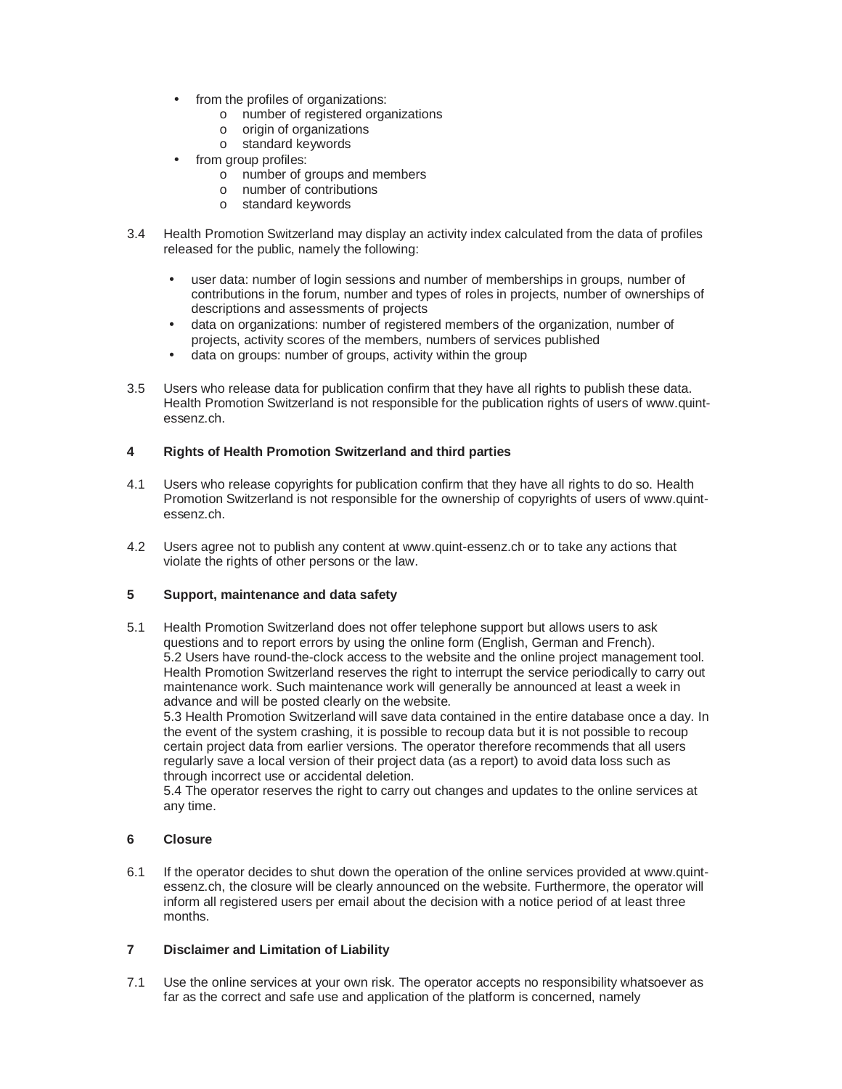- from the profiles of organizations:
	- o number of registered organizations
	- o origin of organizations
	- o standard keywords
- from group profiles:
	- o number of groups and members
	- o number of contributions
	- o standard keywords
- 3.4 Health Promotion Switzerland may display an activity index calculated from the data of profiles released for the public, namely the following:
	- user data: number of login sessions and number of memberships in groups, number of contributions in the forum, number and types of roles in projects, number of ownerships of descriptions and assessments of projects
	- data on organizations: number of registered members of the organization, number of projects, activity scores of the members, numbers of services published
	- data on groups: number of groups, activity within the group
- 3.5 Users who release data for publication confirm that they have all rights to publish these data. Health Promotion Switzerland is not responsible for the publication rights of users of www.quintessenz.ch.

## **4 Rights of Health Promotion Switzerland and third parties**

- 4.1 Users who release copyrights for publication confirm that they have all rights to do so. Health Promotion Switzerland is not responsible for the ownership of copyrights of users of www.quintessenz.ch.
- 4.2 Users agree not to publish any content at www.quint-essenz.ch or to take any actions that violate the rights of other persons or the law.

### **5 Support, maintenance and data safety**

5.1 Health Promotion Switzerland does not offer telephone support but allows users to ask questions and to report errors by using the online form (English, German and French). 5.2 Users have round-the-clock access to the website and the online project management tool. Health Promotion Switzerland reserves the right to interrupt the service periodically to carry out maintenance work. Such maintenance work will generally be announced at least a week in advance and will be posted clearly on the website.

5.3 Health Promotion Switzerland will save data contained in the entire database once a day. In the event of the system crashing, it is possible to recoup data but it is not possible to recoup certain project data from earlier versions. The operator therefore recommends that all users regularly save a local version of their project data (as a report) to avoid data loss such as through incorrect use or accidental deletion.

5.4 The operator reserves the right to carry out changes and updates to the online services at any time.

## **6 Closure**

6.1 If the operator decides to shut down the operation of the online services provided at www.quintessenz.ch, the closure will be clearly announced on the website. Furthermore, the operator will inform all registered users per email about the decision with a notice period of at least three months.

# **7 Disclaimer and Limitation of Liability**

7.1 Use the online services at your own risk. The operator accepts no responsibility whatsoever as far as the correct and safe use and application of the platform is concerned, namely